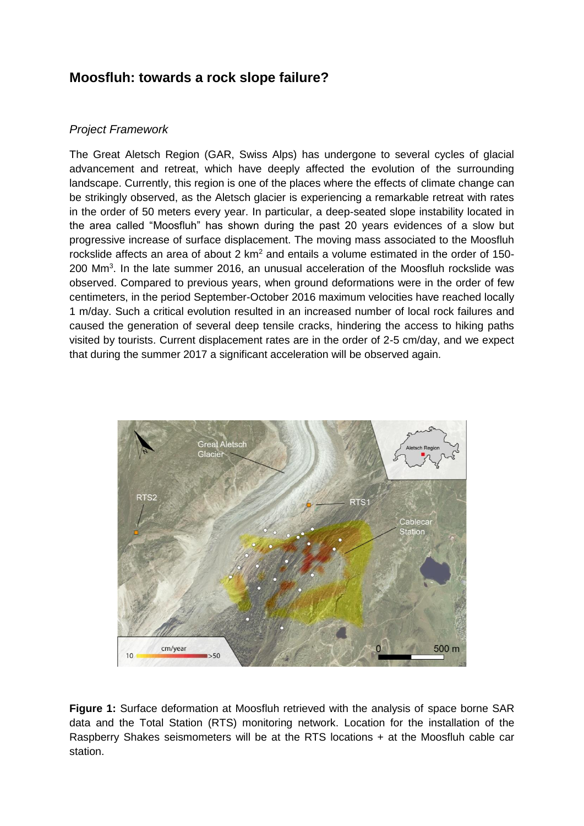## **Moosfluh: towards a rock slope failure?**

## *Project Framework*

The Great Aletsch Region (GAR, Swiss Alps) has undergone to several cycles of glacial advancement and retreat, which have deeply affected the evolution of the surrounding landscape. Currently, this region is one of the places where the effects of climate change can be strikingly observed, as the Aletsch glacier is experiencing a remarkable retreat with rates in the order of 50 meters every year. In particular, a deep-seated slope instability located in the area called "Moosfluh" has shown during the past 20 years evidences of a slow but progressive increase of surface displacement. The moving mass associated to the Moosfluh rockslide affects an area of about 2  $km^2$  and entails a volume estimated in the order of 150-200 Mm<sup>3</sup>. In the late summer 2016, an unusual acceleration of the Moosfluh rockslide was observed. Compared to previous years, when ground deformations were in the order of few centimeters, in the period September-October 2016 maximum velocities have reached locally 1 m/day. Such a critical evolution resulted in an increased number of local rock failures and caused the generation of several deep tensile cracks, hindering the access to hiking paths visited by tourists. Current displacement rates are in the order of 2-5 cm/day, and we expect that during the summer 2017 a significant acceleration will be observed again.



**Figure 1:** Surface deformation at Moosfluh retrieved with the analysis of space borne SAR data and the Total Station (RTS) monitoring network. Location for the installation of the Raspberry Shakes seismometers will be at the RTS locations + at the Moosfluh cable car station.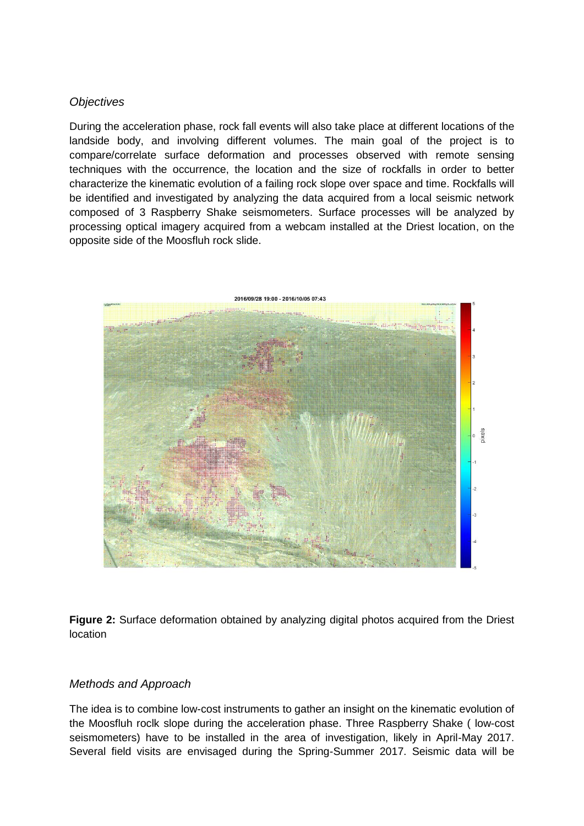## *Objectives*

During the acceleration phase, rock fall events will also take place at different locations of the landside body, and involving different volumes. The main goal of the project is to compare/correlate surface deformation and processes observed with remote sensing techniques with the occurrence, the location and the size of rockfalls in order to better characterize the kinematic evolution of a failing rock slope over space and time. Rockfalls will be identified and investigated by analyzing the data acquired from a local seismic network composed of 3 Raspberry Shake seismometers. Surface processes will be analyzed by processing optical imagery acquired from a webcam installed at the Driest location, on the opposite side of the Moosfluh rock slide.



**Figure 2:** Surface deformation obtained by analyzing digital photos acquired from the Driest location

## *Methods and Approach*

The idea is to combine low-cost instruments to gather an insight on the kinematic evolution of the Moosfluh roclk slope during the acceleration phase. Three Raspberry Shake ( low-cost seismometers) have to be installed in the area of investigation, likely in April-May 2017. Several field visits are envisaged during the Spring-Summer 2017. Seismic data will be